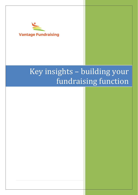

# Key insights – building your fundraising function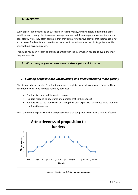#### **1. Overview**

Every organisation wishes to be successful in raising money. Unfortunately, outside the large establishments, many charities never manage to make their income-generation functions work consistently well. They often complain that they employ ineffective staff or that their cause is not attractive to funders. While these issues can exist, in most instances the blockage lies in an illadvised fundraising approach.

This guide has been written to provide charities with the information needed to avoid the most frequent mistakes.

#### **2. Why many organisations never raise significant income**

#### *1. Funding proposals are unconvincing and need refreshing more quickly*

Charities need a persuasive Case for Support and template proposal to approach funders. These documents need to be updated regularly because:

- Funders like new and 'innovative' projects
- Funders respond to key words and phrases that fit the zeitgeist
- Funders like to see themselves as having their own expertise, sometimes more than the charities themselves.

What this means in practice is that any proposition that you produce will have a limited lifetime.



*Figure 1 The rise and fall of a charity's proposition*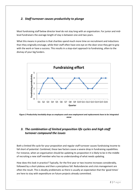## *2. Staff turnover causes productivity to plunge*

Most fundraising staff below director level do not stay long with an organisation. For junior and midlevel fundraisers the average length of stay is between one and two years.

What this means in practice is that charities spend much more time on recruitment and inductions than they originally envisage, while their staff often have one eye on the door once they get to grip with the work or have a success. This results in a stop-start approach to fundraising, often to the dismay of your big funders.



*Figure 2 Productivity inevitably drops as employees seek new employment and replacements have to be integrated anew*

#### *3. The combination of limited proposition life cycles and high staff turnover compound the issues*

Both a limited life cycle for your proposition and regular staff turnover causes fundraising income to fall short of potential. Combined, these two factors cause a severe drop in fundraising capabilities. For instance, when an organisation should be updating its proposition it is likely to be in the middle of recruiting a new staff member who has no understanding of what needs updating.

How does this look in practice? Typically, for the first year or two income increases considerably, followed by a short plateau and then a precipitous fall. Redundancies and crisis management are often the result. This is doubly problematic as there is usually an expectation that the 'good times' are here to stay with expenditure on future projects already committed.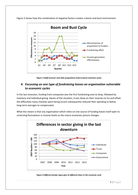

Figure 3 shows how this combination of negative factors creates a boom-and-bust environment.

*Figure 3 Staff turnover and stale propositions lead to boom-and-bust cycles*

#### *4. Focussing on one type of fundraising leaves an organisation vulnerable to economic cycles*

In the last recession, funding from companies was the first fundraising area to drop, followed by statutory and individual giving. Aware of the situation, trusts drew on their reserves to try and offset the difficulties many charities were facing (trusts subsequently reduced their spending to below long-term averages to compensate).

What this means is that any organisation which relies on one source of funding leaves itself open to unnerving fluctuations in income levels as the macro-economic picture changes.



*Figure 4 Different funder types give at different times in the economic cycle*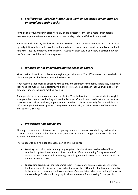## *5. Staff are too junior for higher-level work or expensive senior staff are undertaking routine tasks*

Having a senior fundraiser in place normally brings a better return than a more junior person. However, top fundraisers are expensive and are rarely good value if they do every task.

For most small charities, the decision to choose either a senior or junior member of staff is dictated by budget. Normally, a junior to mid-level fundraiser is therefore employed. Income is earned but it rarely matches the ambitions of the charity. Frustration often sets in and there is tension between the fundraisers and the senior management.

#### *6. Ignoring or not understanding the needs of donors*

Most charities have little trouble when beginning to raise funds. The difficulties occur once the list of obvious supporters has been exhausted. Why is this?

A key reason is that charities effectively make only one argument for funding, that is they state why they need the money. This is certainly valid but if it is your sole approach then you will miss lots of potential funders, including most companies.

Some people never seem to understand this factor. They believe that if they are strident enough in laying out their needs then funding will inevitably come. After all, how could a rational funder turn down such a worthy cause? Yet, as parents with new-born children eventually find out, while your offspring might be the most precious thing to you in the world, for others they are of little interest and, at worst, irritants.

#### *7. Procrastination and delays*

Although I have placed this factor last, it is perhaps the most common issue holding back smaller charities. While there may be a few income generation activities taking place, there is little or no attempt to build on them.

There appear to be a number of reasons behind this, including:

- **Wanting zero risk** unfortunately, any long-term funding stream carries a risk of loss, whether in upfront investment or time committed. If you are waiting for a guarantee of instant returns then you will be waiting a very long time (whatever some commission-based fundraisers might claim).
- **Fundraising expertise in the leadership team** we regularly come across charities where funding requests to big funders are on hold because the CEO or a trustee has some expertise in the area but is currently too busy elsewhere. One year later, when a second application to the same large funder could be going in, the same reason for not asking for support is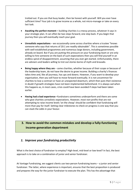trotted out. If you are that busy leader, then be honest with yourself. Will you ever have sufficient time? Your job is to grow income as a whole, not micro-manage or take on every last task.

- **Awaiting the perfect moment –** building charities is a messy process, whatever it says in your strategic plan. It can often be two steps forward, one step back. If you begin that journey then you will eventually reach your goal.
- **Unrealistic expectations** we occasionally come across charities where a trustee "knows someone who says that returns of 20:1 are readily obtainable". This is sometimes possible with well-established programmes and numerous large donors, including government, already on board. But if you are putting this pressure on your fundraising team or are only willing to hire someone on the back of such expectations then you will find yourself in an endless spiral of disappointment, assuming that you ever get started. Unfortunately, there are advisers and leaders willing to trot out stories borne of myth and bravado.
- **Being happy where they are** some charities, whether because of their scope or because of the leadership team, do not have the desire to grow income. Building a charity's finances takes time and, like all journeys, has ups and downs. However, if you want to develop your organisation, then you will have to move forward eventually. It is not uncommon for charities to lose a contract or have an unexpected downturn, which then puts their existence in doubt if growth strategies have not been implemented beforehand. It is always sad when this happens as, in most cases, crisis could have been avoided if steps had been taken earlier.
- **Having had a bad experience –**fundraisers sometimes underperform and there are some who give charities unrealistic expectations. However, most non-profits that are not attempting to raise income levels 'on the cheap' should be confident that fundraising will more than pay for itself. Setting clear milestones to check on progress is one way that you can stack the odds in your favour.

# **3. How to avoid the common mistakes and develop a fully-functioning income-generation department**

#### *1. Improve your fundraising productivity*

What is the best choice of fundraiser to employ? High-level, mid-level or low-level? In fact, the best approach is to take on a combination of junior and senior fundraiser.

At Vantage Fundraising, we suggest clients use two-person fundraising teams – a junior and senior fundraiser. The latter, where experience is important, ensures that the best proposition is produced and prepares the way for the junior fundraiser to execute the plan. This has the advantage that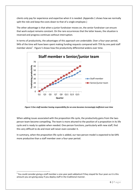clients only pay for experience and expertise when it is needed. (Appendix 1 shows how we normally split the role and keep the costs down to that of a single employee.)

The other advantage is that when a junior fundraiser moves on, the senior fundraiser can ensure that work output remains constant. On the rare occurrences that the latter leaves, the situation is reversed and progress continues without interruption.

In terms of productivity, the advantages of this approach are undeniable. Over a four-year period, 94% of the time will have been spent making funding requests compared with 75% by one paid staff member alone<sup>1</sup>. [Figure 5](#page-6-0) shows how the productivity differential widens over time.



<span id="page-6-0"></span>*Figure 5 One staff member having responsibility for an area becomes increasingly inefficient over time*

When adding issues associated with the proposition life cycle, the productivity gains from the twoperson team become compelling. The team is more attuned to the position of a proposition in its life cycle and is ready to update when needed. One-person functions, particularly with new staff, find this very difficult to do and most will never even consider it.

In summary, when the proposition life cycle is added, our two-person model is expected to be 64% more productive than a staff member over a four-year period.

 $1$  You could consider giving a staff member a one-year paid sabbatical if they stayed for four years as it is this amount you are giving away if you deploy staff in the traditional manner.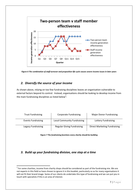

*Figure 6 The combination of staff turnover and proposition life cycle causes severe income issues in later years*

### *2. Diversify the source of your income*

As shown above, relying on too few fundraising disciplines leaves an organisation vulnerable to external factors beyond its control. Instead, organisations should be looking to develop income from the main fundraising disciplines as listed below<sup>2</sup>:

<span id="page-7-0"></span>

| <b>Trust Fundraising</b>  | <b>Corporate Fundraising</b>       | <b>Major Donor Fundraising</b>      |
|---------------------------|------------------------------------|-------------------------------------|
| <b>Events Fundraising</b> | <b>Local Community Fundraising</b> | Lottery Fundraising                 |
| Legacy Fundraising        | <b>Regular Giving Fundraising</b>  | <b>Direct Marketing Fundraising</b> |

*Figure 7 The fundraising functions every charity should be building*

## *3. Build up your fundraising division, one step at a time*

 $2$  For some charities, income from charity shops should be considered as part of the fundraising mix. We are not experts in this field so have chosen to ignore it in this booklet, particularly so as for many organisations it will not fit their brand image. Some of our clients do undertake this type of fundraising and we can put you in touch with specialists if this is an area of interest.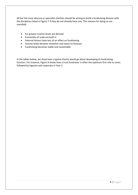All but the most obscure or specialist charities should be aiming to build a fundraising division with the disciplines listed i[n Figure 7](#page-7-0) if they do not already have one. The reasons for doing so are manifold:

- Far greater income levels are derived
- Economies of scale are built in
- External factors have less of an effect on fundraising
- Income levels become smoother and easier to forecast
- Fundraising becomes stable and sustainable

In the tables below, we show how a typical charity would go about developing its fundraising function. For instance[, Figure 9](#page-9-0) shows how a trust fundraiser is often the optimum first role to cover, followed by legacies and corporate in Year 2.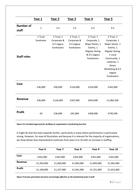|                           | Year 1                | Year 2                                                 | Year 3                                                 | Year 4                                                                                                            | Year 5                                                                                                                                                                               |
|---------------------------|-----------------------|--------------------------------------------------------|--------------------------------------------------------|-------------------------------------------------------------------------------------------------------------------|--------------------------------------------------------------------------------------------------------------------------------------------------------------------------------------|
| <b>Number of</b><br>staff | $\mathbf{1}$          | 2.5                                                    | 3.5                                                    | 6.5                                                                                                               | 9.5                                                                                                                                                                                  |
| <b>Staff roles</b>        | 1 Trust<br>fundraiser | 1 Trust, 1<br>Corporate &<br>0.5 Legacy<br>fundraisers | 2 Trust, 1<br>Corporate &<br>0.5 Legacy<br>fundraisers | 2 Trust, 1<br>Corporate, 1<br>Major Donor, 1<br>Events, 1<br><b>Regular Giving</b><br>& 0.5 Legacy<br>fundraisers | 2 Trust, 1<br>Corporate, 1<br>Major Donor, 1<br>Events, 1<br>Regular Giving,<br>1 Local<br>Community, 1<br>Lotteries, 1<br><b>Direct</b><br>Marketing & 0.5<br>Legacy<br>fundraisers |
| Cost                      | £36,000               | £90,000                                                | £126,000                                               | £234,000                                                                                                          | £342,000                                                                                                                                                                             |
| <b>Revenue</b>            | £36,000               | £126,000                                               | £207,000                                               | £643,000                                                                                                          | £1,082,500                                                                                                                                                                           |
| <b>Profit</b>             | £0                    | £36,000                                                | £81,000                                                | £409,000                                                                                                          | £740,500                                                                                                                                                                             |

*Figure 8 A standard approach for building an organisation's fundraising function*

It might be that the team expands further, particularly in areas where performance is particularly strong. However, for ease of illustration and because it is relevant for the majority of organisations, we show below how improvement continues from years 6 to 10 with no increase in staffing:

|               | Year 6     | Year 7     | Year 8     | Year 9     | Year 10    |
|---------------|------------|------------|------------|------------|------------|
| Cost          | £342,000   | £342,000   | £342,000   | £342,000   | £342,000   |
| Revenue       | £1,450,000 | £1,669,000 | £1,803,000 | £1,893,000 | £1,965,000 |
| <b>Profit</b> | £1,108,000 | £1,327,000 | £1,461,000 | £1,551,000 | £1,623,000 |

<span id="page-9-0"></span>*Figure 9 Income generation becomes increasingly effective as the fundraising team is built*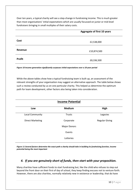Over ten years, a typical charity will see a step-change in fundraising income. This is much greater than most organisations' initial expectations which are usually focussed on junior or mid-level fundraisers bringing in small multiples of their salary costs.

|               | <b>Aggregate of first 10 years</b> |
|---------------|------------------------------------|
| Cost          | £2,538,000                         |
| Revenue       | £10,874,500                        |
| <b>Profit</b> | £8,336,500                         |

*Figure 10 Income generation significantly surpasses initial expectations over a 10-year period*

While the above tables show how a typical fundraising team is built up, an assessment of the relevant strengths of your organisation may suggest an alternative approach. The table below shows such a review conducted by us on one particular charity. This helped us determine the optimum path for team development, other factors also being taken into consideration.

| <b>Income Potential</b> |                     |                       |  |
|-------------------------|---------------------|-----------------------|--|
| Low                     | <b>Medium</b>       | High                  |  |
| Local Community         | <b>Trusts</b>       | Legacies              |  |
| <b>Direct Marketing</b> | Corporate           | <b>Regular Giving</b> |  |
|                         | <b>Major Donors</b> |                       |  |
|                         | Events              |                       |  |
|                         | Lotteries           |                       |  |

*Figure 11 Several factors determine the exact path a charity should take in building its fundraising function, income potential being the most important*

#### *4. If you are genuinely short of funds, then start with your proposition.*

Many charities have sufficient funds to start fundraising but, like the child who refuses to step out beyond the front door on their first of day of school, they keep finding excuses not to venture forth. However, there are also charities, normally relatively new in existence or leadership, that do have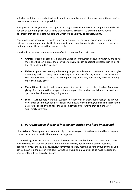sufficient ambition to grow but lack sufficient funds to fully commit. If you are one of these charities, then concentrate on your proposal first.

Your proposal is like your dress and appearance – get it wrong and however competent and skilled you are at everything else, you will find that nobody will support. So ensure that you have a document that can be put to funders and which will enable you to attract funding.

Your proposition should cover two to four pages, summarise the problem and your solution, give evidence of your impact and list the key people in your organisation (to give assurance to funders that any funding they give will be manged well).

You should also cover donor motivations of which there are four main ones:

- **Affinity** people or organisations giving under this motivation believe in what you are doing. Most charities can express themselves effectively to such donors; the mistake is in thinking that all funders fit this category.
- **Philanthropic** people or organisations giving under this motivation want to improve or give something back to society. Your cause might be one area of many in which they will support. You therefore need to talk to the wider good, explaining why your charity deserves funding more than every other.
- **Mutual Benefit** Such funders want something back in return for their funding. Company giving often falls into this category – the more you offer, such as publicity and networking opportunities, the more they will give you.
- **Social** Such funders want their support to reflect well on them. Being recognised in your newsletter or sending out a press release with news of their giving would all be appreciated. Be careful! Those giving under the Social motivation will rarely admit to it and yet it is surprisingly common.

#### *5. Put someone in charge of income generation and keep improving!*

Like a tailored fitness plan, improvement only comes when you put in the effort and build on your current performance levels. That means starting now.

To move things forward in your charity, make someone responsible for income generation. There is always something that can be done in the immediate term, however time-poor or resourceconstrained your charity may be. Review performance every month and refine your efforts as you develop. Just like the person who sticks with their training plan, you will be so much happier one year later than if you stayed as before.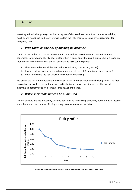#### **4. Risks**

Investing in fundraising always involves a degree of risk. We have never found a way round this, much as we would like to. Below, we will explain the risks themselves and give suggestions for mitigating them.

#### *1. Who takes on the risk of building up income?*

The issue lies in the fact that an investment in time and resource is needed before income is generated. Naturally, if a charity goes it alone then it takes on all the risk. If outside help is taken on then there are three ways that the initial costs and risks can be spread:

- 1. The charity takes on all the risk (in-house solution; consultancy model)
- 2. An external fundraiser or consultancy takes on all the risk (commission-based model)
- 3. Both sides share the risk (charity-consultancy partnership)

We prefer the last option because it encourages each side to succeed over the long-term. The first two options, as well as having their own particular issues, leave one side or the other with less incentive to perform; option 3 removes this power imbalance.

#### *2. Risk is inevitable but can be minimised*

The initial years are the most risky. As time goes on and fundraising develops, fluctuations in income smooth out and the chances of losing money become almost non-existent.



*Figure 12 Fundraising risk reduces as the fundraising function is built over time*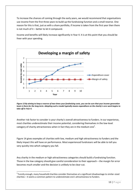To increase the chances of coming through the early years, we would recommend that organisations use income from the first three years to build up the fundraising function and a small reserve. One reason for this is that, just as with a share portfolio, if income is taken from the first year then there is not much of it – better to let it compound.

Income and benefits will likely increase significantly in Year 4. It is at this point that you should be freer with your spending.



*Figure 13 By aiming to keep a reserve of two-times your fundraising costs, you can be sure that your income generation team is there for the long-term. Adopting such a model typically means expenditure on the charity's core work begins to take off in Year 4.*

Another risk factor to consider is your charity's overall attractiveness to funders. In our experience, most charities underestimate their income potential, considering themselves in the low-level category of charity attractiveness when in fact they are in the medium one<sup>3</sup>.

[Figure 14](#page-14-0) gives examples of charities with low, medium and high attractiveness to funders and the likely impact this will have on performance. Most experienced fundraisers will be able to tell you very quickly into which category you fall.

Any charity in the medium or high-attractiveness categories should build a fundraising function. Those in the low category should give careful consideration to their approach – the margin for error becomes much smaller and the decision is unlikely to be clear-cut.

 $3$  Funnily enough, many household charities consider themselves at a significant disadvantage to similar-sized charities – it seems a common pattern to underestimate one's attractiveness to funders.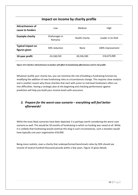# **Impact on income by charity profile**

| <b>Attractiveness of</b><br>cause to funders | Low                      | Medium         | High                |
|----------------------------------------------|--------------------------|----------------|---------------------|
| <b>Example charity</b>                       | Orphanages in<br>Romania | Health charity | Leader in its field |
| <b>Typical impact on</b><br>figures given    | 50% reduction            | <b>None</b>    | 100% improvement    |
| 10-year profit                               | £4,168,250               | £8,336,500     | £16,673,000         |

<span id="page-14-0"></span>*Figure 14 A charity's attractiveness to funders will affect its fundraising effectiveness and its risk profile*

Whatever profile your charity has, you can minimise the risk of building a fundraising function by modifying the addition of new fundraising roles as circumstances change. This requires close analysis and is another reason why those charities that start with junior to mid-level fundraisers often run into difficulties. Having a strategic plan at the beginning and checking performance against prediction will help you build your income levels with assurance.

## *3. Prepare for the worst-case scenario – everything will feel better afterwards!*

While the most likely scenarios have been depicted, it is perhaps worth considering the worst-case scenario as well. This would be 18 months of fundraising in which no funding was raised at all. While it is unlikely that fundraising would continue this long in such circumstances, such a situation would have typically cost your organisation £54,000.

Being more realistic, even a charity that underperformed benchmark ratios by 50% should see income of several hundred thousand pounds within a few years. [Figure 15](#page-15-0) gives details.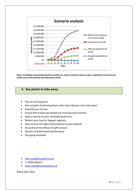

<span id="page-15-0"></span>*Figure 15 Building a fundraising function provides you with an excellent chance to gain a significant annual income stream even with relatively low performance levels.*

#### **5. Key points to take away**

- Plan for the long-term
- Aim to build a fundraising team rather than 'dip your toe in the water'
- Diversify your income
- Ensure that at least two people are covering every function
- Build a reserve to cover inevitable downturns
- Refresh your Case for Support regularly
- Have at least one high-level fundraiser at your disposal
- Be careful of the effects of staff turnover
- Monitor and benchmark performance
- Get going and build!

- > [Nick.ryan@sfnetwork.co.uk](mailto:Nick.ryan@sfnetwork.co.uk)
- $\triangleright$  T-07905 896473
- [www.vantagefundraising.co.uk](http://www.vantagefundraising.co.uk/)

©Nick Ryan 2019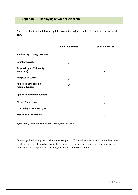## **Appendix 1 – Deploying a two-person team**

For typical charities, the following split in tasks between junior and senior staff member will work best.

|                                                      | Junior fundraiser | <b>Senior fundraiser</b> |
|------------------------------------------------------|-------------------|--------------------------|
| <b>Fundraising strategy overview</b>                 |                   | ✓                        |
| <b>Initial proposals</b>                             | ✓                 |                          |
| <b>Proposal sign-offs (quality</b><br>assurance)     |                   |                          |
| Prospect research                                    | ✓                 |                          |
| <b>Applications to small &amp;</b><br>medium funders |                   |                          |
| <b>Applications to large funders</b>                 |                   | ✓                        |
| <b>Pitches &amp; meetings</b>                        |                   | ✓                        |
| Day-to-day liaison with you                          | ✓                 |                          |
| Monthly liaison with you                             |                   | ✓                        |

*Figure 16 Staff should specialise based on their experience and cost*

At Vantage Fundraising, we provide the senior person. This enables a more junior fundraiser to be employed on a day-to-day basis while keeping costs to the level of a mid-level fundraiser i.e. the client need not compromise at all and gains the best of the both worlds.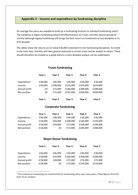## **Appendix 2 – Income and expenditure by fundraising discipline**

On average five years are needed to build up a fundraising function to standard fundraising ratios<sup>4</sup>. The exception is legacy fundraising where full effectiveness isn't seen until the second decade of activity (although legacy fundraising still brings the best return on investment of any discipline in its first decade).

The tables show the returns on an initial £36,000 investment in ten fundraising disciplines. As noted in the main text, charities will have greater potential in certain areas and be weaker in others. These should therefore be treated as a guide before a more detailed analysis can be undertaken.

|               | Year 1  | Year 2   | Year 3   | Year 4   | Year 5   |
|---------------|---------|----------|----------|----------|----------|
| Expenditure   | £36,000 | £36,000  | £36,000  | £36,000  | £36,000  |
| Income        | £36,000 | £108,000 | £216,000 | £324,000 | £324,000 |
| Annual profit | £0      | £72,000  | £180,000 | £288,000 | £288,000 |
| Net position  | £0      | £72,000  | £252,000 | £540,000 | £828,000 |
|               | Year 1  | Year 2   | Year 3   | Year 4   | Year 5   |

#### **Trusts fundraising**

#### **Corporate fundraising**

|               | Year 1     | Year 2  | Year 3   | Year 4   | Year 5   |
|---------------|------------|---------|----------|----------|----------|
| Expenditure   | £36,000    | £36,000 | £36,000  | £36,000  | £36,000  |
| Income        | £18,000    | £54.000 | £108,000 | £144,000 | £144,000 |
| Annual profit | $-E18,000$ | £18,000 | £72.000  | £108.000 | £108,000 |
| Net position  | $-E18,000$ | £0      | £72.000  | £180,000 | £288,000 |

#### **Major Donor fundraising**

|               | Year 1     | Year 2  | Year 3   | Year 4   | Year 5   |
|---------------|------------|---------|----------|----------|----------|
| Expenditure   | £36,000    | £36,000 | £36,000  | £36,000  | £36,000  |
| Income        | £18,000    | £54.000 | £108,000 | £108,000 | £108,000 |
| Annual profit | $-E18,000$ | £18,000 | £72,000  | £72.000  | £72,000  |
| Net position  | $-E18,000$ | £0      | £72,000  | £144,000 | £216,000 |

<sup>&</sup>lt;sup>4</sup> The Institute of Fundraising ran a benchmark for fundraising ratios over many years. These figures form the basis of our analysis.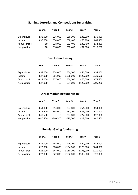# **Gaming, Lotteries and Competitions fundraising**

|               | Year 1  | Year 2  | Year 3  | Year 4  | Year 5   |
|---------------|---------|---------|---------|---------|----------|
|               |         |         |         |         |          |
| Expenditure   | £36,000 | £36,000 | £36,000 | £36,000 | £36,000  |
| Income        | £36,000 | £54,000 | £68,400 | £68,400 | £68,400  |
| Annual profit | £0      | £18,000 | £32,400 | £32,400 | £32,400  |
| Net position  | £0      | £18,000 | £50,400 | £82,800 | £115,200 |
|               |         |         |         |         |          |

# **Events fundraising**

|               | Year 1     | Year 2  | Year 3   | Year 4   | Year 5   |
|---------------|------------|---------|----------|----------|----------|
|               |            |         |          |          |          |
| Expenditure   | £54,000    | £54,000 | £54,000  | £54,000  | £54,000  |
| Income        | £27,000    | £81,000 | £108,000 | £129,600 | £129,600 |
| Annual profit | $-E27,000$ | £27,000 | £54,000  | £75,600  | £75,600  |
| Net position  | $-E27,000$ | £0      | £54,000  | £129,600 | £205,200 |

# **Direct Marketing fundraising**

|               | Year 1     | Year 2     | Year 3     | Year 4  | Year 5  |
|---------------|------------|------------|------------|---------|---------|
|               |            |            |            |         |         |
| Expenditure   | £54,000    | £54,000    | £54,000    | £54,000 | £54,000 |
| Income        | £13,500    | £54,000    | £81,000    | £81,000 | £81,000 |
| Annual profit | $-£40,500$ | £0         | £27.000    | £27,000 | £27,000 |
| Net position  | $-£40,500$ | $-£40,500$ | $-E13,500$ | £13,500 | £40,500 |

# **Regular Giving fundraising**

|               | Year 1     | Year 2  | Year 3   | Year 4   | Year 5   |
|---------------|------------|---------|----------|----------|----------|
|               |            |         |          |          |          |
| Expenditure   | £44,000    | £44,000 | £44,000  | £44,000  | £44,000  |
| Income        | £22,000    | £88,000 | £154,000 | £220,000 | £264,000 |
| Annual profit | $-E22,000$ | £44,000 | £110,000 | £176,000 | £220,000 |
| Net position  | $-E22,000$ | £22,000 | £132,000 | £308,000 | £528,000 |